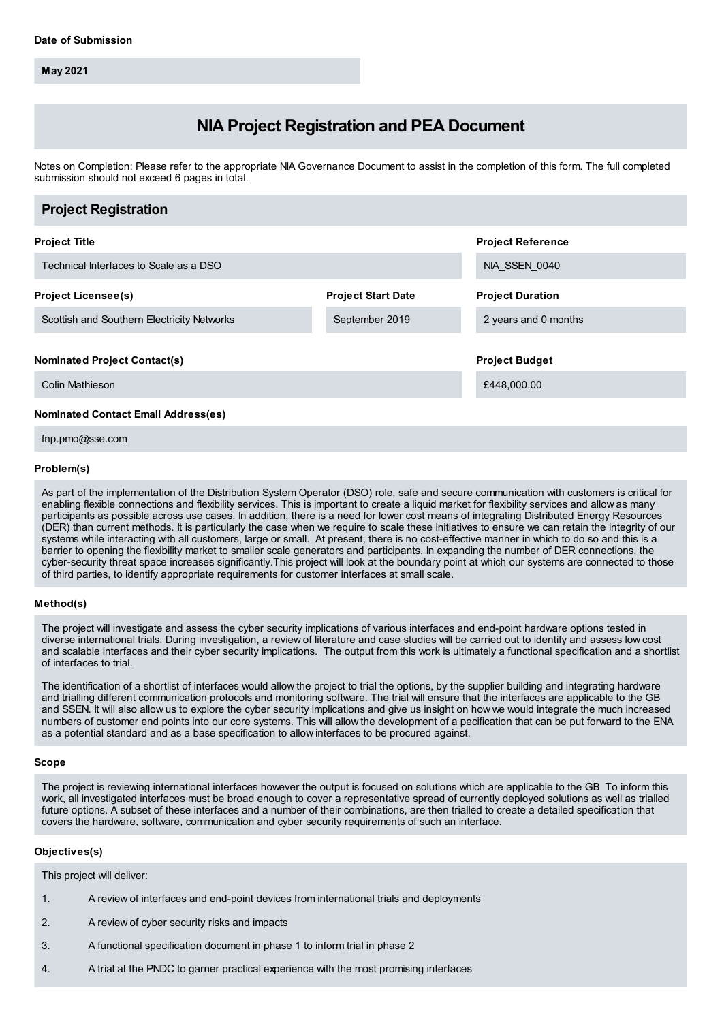**May 2021**

# **NIA Project Registration and PEA Document**

Notes on Completion: Please refer to the appropriate NIA Governance Document to assist in the completion of this form. The full completed submission should not exceed 6 pages in total.

| <b>Project Registration</b>                |                           |                          |
|--------------------------------------------|---------------------------|--------------------------|
| <b>Project Title</b>                       |                           | <b>Project Reference</b> |
| Technical Interfaces to Scale as a DSO     |                           | NIA SSEN 0040            |
| <b>Project Licensee(s)</b>                 | <b>Project Start Date</b> | <b>Project Duration</b>  |
| Scottish and Southern Electricity Networks | September 2019            | 2 years and 0 months     |
| <b>Nominated Project Contact(s)</b>        |                           | <b>Project Budget</b>    |
| Colin Mathieson                            |                           | £448,000.00              |
| <b>Nominated Contact Email Address(es)</b> |                           |                          |

fnp.pmo@sse.com

### **Problem(s)**

As part of the implementation of the Distribution System Operator (DSO) role, safe and secure communication with customers is critical for enabling flexible connections and flexibility services. This is important to create a liquid market for flexibility services and allow as many participants as possible across use cases. In addition, there is a need for lower cost means of integrating Distributed Energy Resources (DER) than current methods. It is particularly the case when we require to scale these initiatives to ensure we can retain the integrity of our systems while interacting with all customers, large or small. At present, there is no cost-effective manner in which to do so and this is a barrier to opening the flexibility market to smaller scale generators and participants. In expanding the number of DER connections, the cyber-security threat space increases significantly.This project will look at the boundary point at which our systems are connected to those of third parties, to identify appropriate requirements for customer interfaces at small scale.

## **Method(s)**

The project will investigate and assess the cyber security implications of various interfaces and end-point hardware options tested in diverse international trials. During investigation, a review of literature and case studies will be carried out to identify and assess low cost and scalable interfaces and their cyber security implications. The output from this work is ultimately a functional specification and a shortlist of interfaces to trial.

The identification of a shortlist of interfaces would allow the project to trial the options, by the supplier building and integrating hardware and trialling different communication protocols and monitoring software. The trial will ensure that the interfaces are applicable to the GB and SSEN. It will also allow us to explore the cyber security implications and give us insight on how we would integrate the much increased numbers of customer end points into our core systems. This will allow the development of a pecification that can be put forward to the ENA as a potential standard and as a base specification to allow interfaces to be procured against.

## **Scope**

The project is reviewing international interfaces however the output is focused on solutions which are applicable to the GB To inform this work, all investigated interfaces must be broad enough to cover a representative spread of currently deployed solutions as well as trialled future options. A subset of these interfaces and a number of their combinations, are then trialled to create a detailed specification that covers the hardware, software, communication and cyber security requirements of such an interface.

## **Objectives(s)**

This project will deliver:

- 1. A review of interfaces and end-point devices from international trials and deployments
- 2. A review of cyber security risks and impacts
- 3. A functional specification document in phase 1 to inform trial in phase 2
- 4. A trial at the PNDC to garner practical experience with the most promising interfaces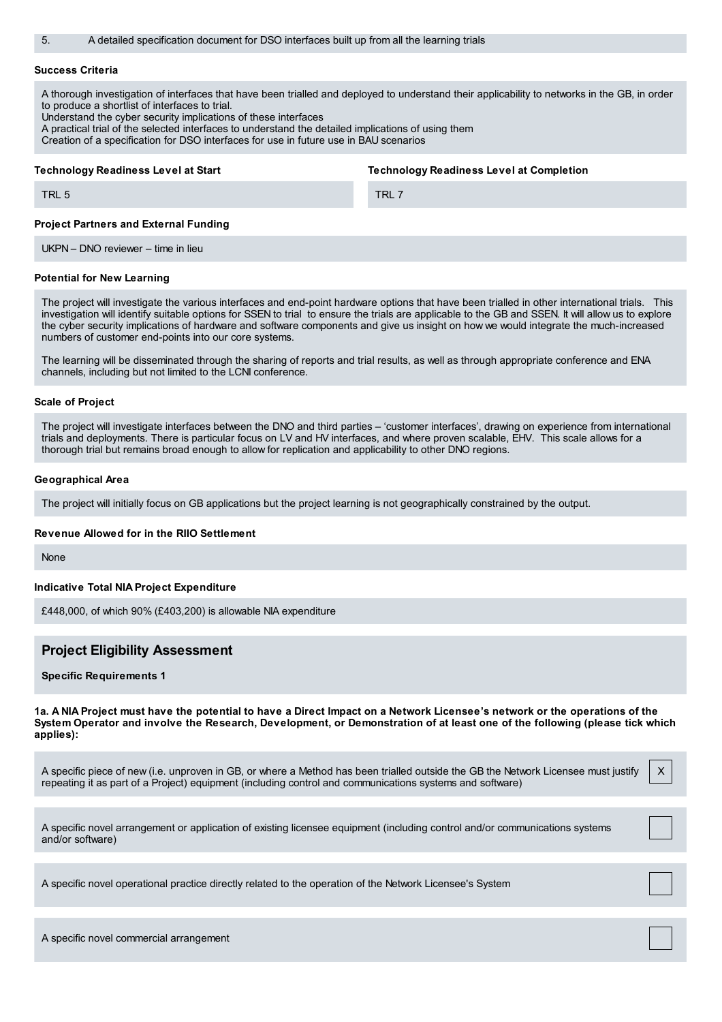5. A detailed specification document for DSO interfaces built up from all the learning trials

#### **Success Criteria**

TRL 5

A thorough investigation of interfaces that have been trialled and deployed to understand their applicability to networks in the GB, in order to produce a shortlist of interfaces to trial.

Understand the cyber security implications of these interfaces

A practical trial of the selected interfaces to understand the detailed implications of using them

Creation of a specification for DSO interfaces for use in future use in BAU scenarios

#### **Technology Readiness Level at Start**

**Technology Readiness Level at Completion**

TRL 7

#### **Project Partners and External Funding**

UKPN – DNO reviewer – time in lieu

#### **Potential for New Learning**

The project will investigate the various interfaces and end-point hardware options that have been trialled in other international trials. This investigation will identify suitable options for SSEN to trial to ensure the trials are applicable to the GB and SSEN. It will allow us to explore the cyber security implications of hardware and software components and give us insight on how we would integrate the much-increased numbers of customer end-points into our core systems.

The learning will be disseminated through the sharing of reports and trial results, as well as through appropriate conference and ENA channels, including but not limited to the LCNI conference.

#### **Scale of Project**

The project will investigate interfaces between the DNO and third parties – 'customer interfaces', drawing on experience from international trials and deployments. There is particular focus on LV and HV interfaces, and where proven scalable, EHV. This scale allows for a thorough trial but remains broad enough to allow for replication and applicability to other DNO regions.

#### **Geographical Area**

The project will initially focus on GB applications but the project learning is not geographically constrained by the output.

#### **Revenue Allowed for in the RIIO Settlement**

None

#### **Indicative Total NIA Project Expenditure**

£448,000, of which 90% (£403,200) is allowable NIA expenditure

## **Project Eligibility Assessment**

#### **Specific Requirements 1**

1a. A NIA Project must have the potential to have a Direct Impact on a Network Licensee's network or the operations of the System Operator and involve the Research, Development, or Demonstration of at least one of the following (please tick which **applies):**

A specific piece of new (i.e. unproven in GB, or where a Method has been trialled outside the GB the Network Licensee must justify repeating it as part of a Project) equipment (including control and communications systems and software) X

A specific novel arrangement or application of existing licensee equipment (including control and/or communications systems and/or software)

A specific novel operational practice directly related to the operation of the Network Licensee's System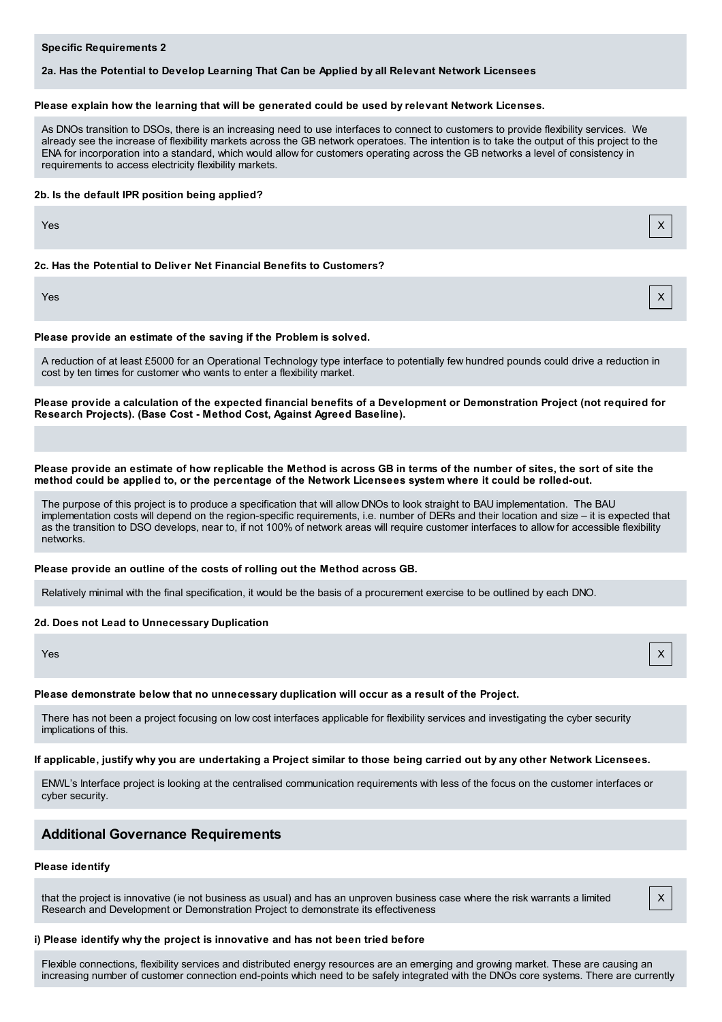## **Specific Requirements 2**

## **2a. Has the Potential to Develop Learning That Can be Applied by all Relevant Network Licensees**

#### **Please explain how the learning that will be generated could be used by relevant Network Licenses.**

As DNOs transition to DSOs, there is an increasing need to use interfaces to connect to customers to provide flexibility services. We already see the increase of flexibility markets across the GB network operatoes. The intention is to take the output of this project to the ENA for incorporation into a standard, which would allow for customers operating across the GB networks a level of consistency in requirements to access electricity flexibility markets.

#### **2b. Is the default IPR position being applied?**

Yes X

#### **2c. Has the Potential to Deliver Net Financial Benefits to Customers?**

Yes X

#### **Please provide an estimate of the saving if the Problem is solved.**

A reduction of at least £5000 for an Operational Technology type interface to potentially few hundred pounds could drive a reduction in cost by ten times for customer who wants to enter a flexibility market.

Please provide a calculation of the expected financial benefits of a Development or Demonstration Project (not required for **Research Projects). (Base Cost - Method Cost, Against Agreed Baseline).**

#### Please provide an estimate of how replicable the Method is across GB in terms of the number of sites, the sort of site the method could be applied to, or the percentage of the Network Licensees system where it could be rolled-out.

The purpose of this project is to produce a specification that will allow DNOs to look straight to BAU implementation. The BAU implementation costs will depend on the region-specific requirements, i.e. number of DERs and their location and size – it is expected that as the transition to DSO develops, near to, if not 100% of network areas will require customer interfaces to allow for accessible flexibility networks.

#### **Please provide an outline of the costs of rolling out the Method across GB.**

Relatively minimal with the final specification, it would be the basis of a procurement exercise to be outlined by each DNO.

#### **2d. Does not Lead to Unnecessary Duplication**

Yes X

## **Please demonstrate below that no unnecessary duplication will occur as a result of the Project.**

There has not been a project focusing on low cost interfaces applicable for flexibility services and investigating the cyber security implications of this.

## If applicable, justify why you are undertaking a Project similar to those being carried out by any other Network Licensees.

ENWL's Interface project is looking at the centralised communication requirements with less of the focus on the customer interfaces or cyber security.

## **Additional Governance Requirements**

## **Please identify**

that the project is innovative (ie not business as usual) and has an unproven business case where the risk warrants a limited Research and Development or Demonstration Project to demonstrate its effectiveness

## **i) Please identify why the project is innovative and has not been tried before**

Flexible connections, flexibility services and distributed energy resources are an emerging and growing market. These are causing an increasing number of customer connection end-points which need to be safely integrated with the DNOs core systems. There are currently

X